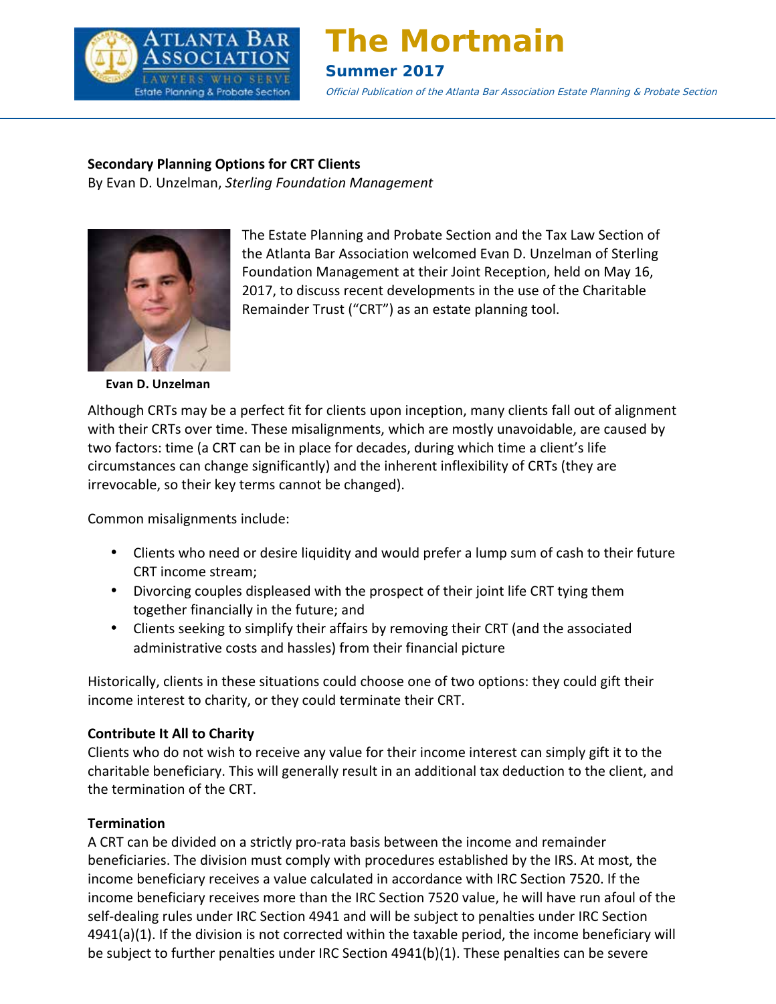

# **The Mortmain**

# **Summer 2017**

Official Publication of the Atlanta Bar Association Estate Planning & Probate Section & Probate Section

#### **Secondary Planning Options for CRT Clients SAVE THE DATES**

**Expression, Proming optimized bin Shortle and Shortle and Shortle and Breakfast** on Management



The Estate Planning and Probate Section and the Tax Law Section of the Atlanta Bar Association welcomed Evan D. Unzelman of Sterling Foundation Management at their Joint Reception, held on May 16, 2017, to discuss recent developments in the use of the Charitable Remainder Trust ("CRT") as an estate planning tool. ar Association welcomed Evan D. Unzelman of Sterling iss recent developments  $\alpha$  is a geometric created by individuals in Georgia. Moreover,  $\alpha$ DiSalvo, P.C., will speak with  $\mathfrak{u}$ , which applies to  $\mathfrak{u}$  $m$ eral, financial Powers of Attorneys of Attorneys of  $A$ torneys of  $A$ created by individuals in Georgia. Mr. Morgan is one of two

**Evan D. Unzelman**

Although CRTs may be a perfect fit for clients upon inception, many clients fall out of alignment with their CRTs over time. These misalignments, which are mostly unavoidable, are caused by two factors: time (a CRT can be in place for decades, during which time a client's life circumstances can change significantly) and the inherent inflexibility of CRTs (they are irrevocable, so their key terms cannot be changed). clients upon inception, many clients fall out of alignment plinicity, which are mostly unavoluable, an please email your questions to the Vice Chair of our Section, **Jacquelyn Saylor** at jsaylor@saylorlaw.com.

Common misalignments include:

- Clients who need or desire liquidity and would prefer a lump sum of cash to their future CRT income stream;
- Divorcing couples displeased with the prospect of their joint life CRT tying them together financially in the future; and
- Clients seeking to simplify their affairs by removing their CRT (and the associated administrative costs and hassles) from their financial picture  $m$ g their civil (and the  $a$

Historically, clients in these situations could choose one of two options: they could gift their income interest to charity, or they could terminate their CRT.

# **Contribute It All to Charity**

commate it his to enairty<br>Clients who do not wish to receive any value for their income interest can simply gift it to the charitable beneficiary. This will generally result in an additional tax deduction to the client, and the termination of the CRT. value for their income interest can simply gift it to the **Members-At-Large** Allison L. Byrd 21, 2017, this article will focus on a few of the highlights

# **Termination**

A CRT can be divided on a strictly pro-rata basis between the income and remainder beneficiaries. The division must comply with procedures established by the IRS. At most, the income beneficiary receives a value calculated in accordance with IRC Section 7520. If the income beneficiary receives more than the IRC Section 7520 value, he will have run afoul of the self-dealing rules under IRC Section 4941 and will be subject to penalties under IRC Section  $4941(a)(1)$ . If the division is not corrected within the taxable period, the income beneficiary will be subject to further penalties under IRC Section  $4941(b)(1)$ . These penalties can be severe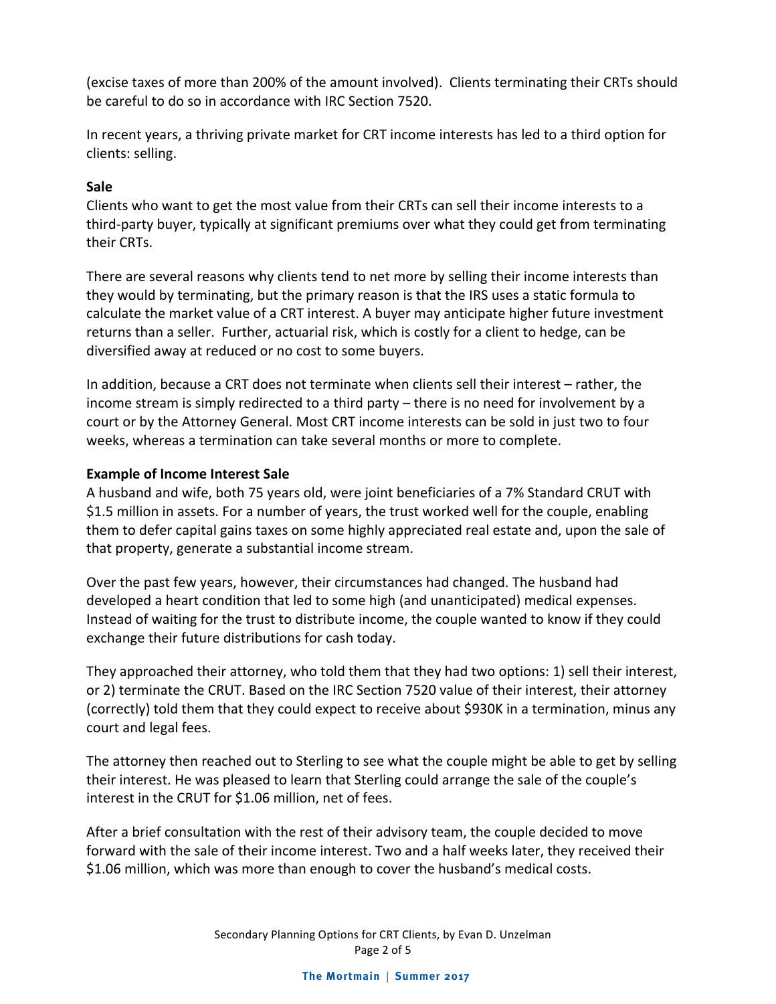(excise taxes of more than 200% of the amount involved). Clients terminating their CRTs should be careful to do so in accordance with IRC Section 7520.

In recent years, a thriving private market for CRT income interests has led to a third option for clients: selling.

# **Sale**

Clients who want to get the most value from their CRTs can sell their income interests to a third-party buyer, typically at significant premiums over what they could get from terminating their CRTs. 

There are several reasons why clients tend to net more by selling their income interests than they would by terminating, but the primary reason is that the IRS uses a static formula to calculate the market value of a CRT interest. A buyer may anticipate higher future investment returns than a seller. Further, actuarial risk, which is costly for a client to hedge, can be diversified away at reduced or no cost to some buyers.

In addition, because a CRT does not terminate when clients sell their interest – rather, the income stream is simply redirected to a third party – there is no need for involvement by a court or by the Attorney General. Most CRT income interests can be sold in just two to four weeks, whereas a termination can take several months or more to complete.

# **Example of Income Interest Sale**

A husband and wife, both 75 years old, were joint beneficiaries of a 7% Standard CRUT with \$1.5 million in assets. For a number of years, the trust worked well for the couple, enabling them to defer capital gains taxes on some highly appreciated real estate and, upon the sale of that property, generate a substantial income stream.

Over the past few years, however, their circumstances had changed. The husband had developed a heart condition that led to some high (and unanticipated) medical expenses. Instead of waiting for the trust to distribute income, the couple wanted to know if they could exchange their future distributions for cash today.

They approached their attorney, who told them that they had two options: 1) sell their interest, or 2) terminate the CRUT. Based on the IRC Section 7520 value of their interest, their attorney (correctly) told them that they could expect to receive about \$930K in a termination, minus any court and legal fees.

The attorney then reached out to Sterling to see what the couple might be able to get by selling their interest. He was pleased to learn that Sterling could arrange the sale of the couple's interest in the CRUT for \$1.06 million, net of fees.

After a brief consultation with the rest of their advisory team, the couple decided to move forward with the sale of their income interest. Two and a half weeks later, they received their \$1.06 million, which was more than enough to cover the husband's medical costs.

> Secondary Planning Options for CRT Clients, by Evan D. Unzelman Page 2 of 5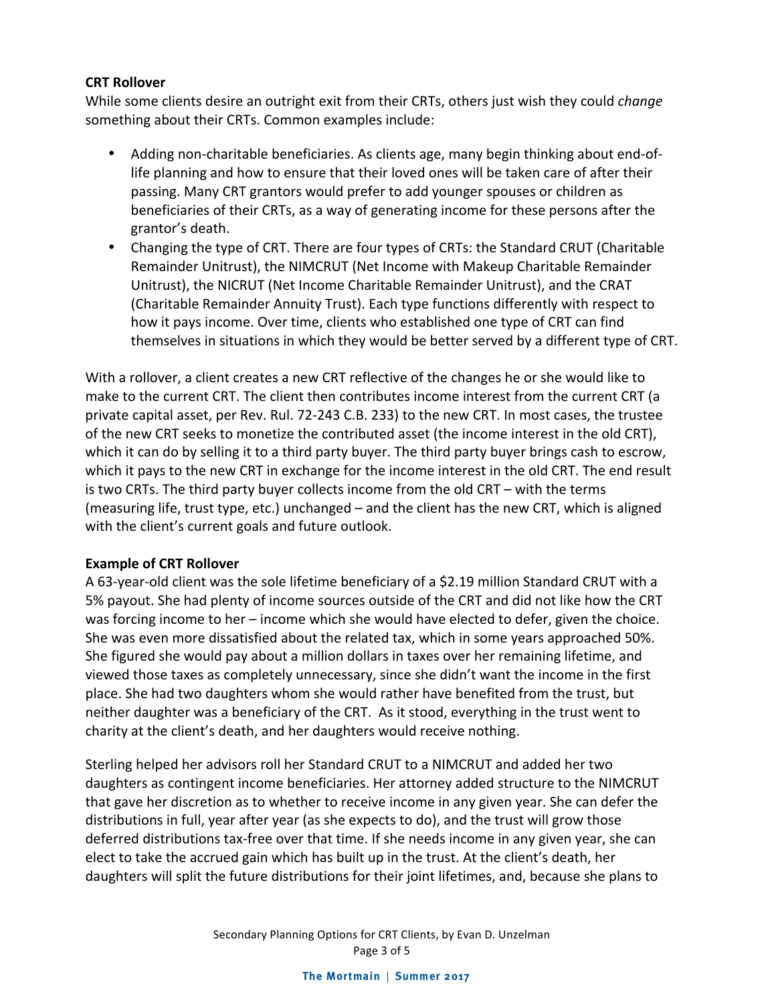#### **CRT Rollover**

While some clients desire an outright exit from their CRTs, others just wish they could *change* something about their CRTs. Common examples include:

- Adding non-charitable beneficiaries. As clients age, many begin thinking about end-oflife planning and how to ensure that their loved ones will be taken care of after their passing. Many CRT grantors would prefer to add younger spouses or children as beneficiaries of their CRTs, as a way of generating income for these persons after the grantor's death.
- Changing the type of CRT. There are four types of CRTs: the Standard CRUT (Charitable Remainder Unitrust), the NIMCRUT (Net Income with Makeup Charitable Remainder Unitrust), the NICRUT (Net Income Charitable Remainder Unitrust), and the CRAT (Charitable Remainder Annuity Trust). Each type functions differently with respect to how it pays income. Over time, clients who established one type of CRT can find themselves in situations in which they would be better served by a different type of CRT.

With a rollover, a client creates a new CRT reflective of the changes he or she would like to make to the current CRT. The client then contributes income interest from the current CRT (a private capital asset, per Rev. Rul. 72-243 C.B. 233) to the new CRT. In most cases, the trustee of the new CRT seeks to monetize the contributed asset (the income interest in the old CRT), which it can do by selling it to a third party buyer. The third party buyer brings cash to escrow, which it pays to the new CRT in exchange for the income interest in the old CRT. The end result is two CRTs. The third party buyer collects income from the old CRT – with the terms (measuring life, trust type, etc.) unchanged - and the client has the new CRT, which is aligned with the client's current goals and future outlook.

#### **Example of CRT Rollover**

A 63-year-old client was the sole lifetime beneficiary of a \$2.19 million Standard CRUT with a 5% payout. She had plenty of income sources outside of the CRT and did not like how the CRT was forcing income to her  $-$  income which she would have elected to defer, given the choice. She was even more dissatisfied about the related tax, which in some years approached 50%. She figured she would pay about a million dollars in taxes over her remaining lifetime, and viewed those taxes as completely unnecessary, since she didn't want the income in the first place. She had two daughters whom she would rather have benefited from the trust, but neither daughter was a beneficiary of the CRT. As it stood, everything in the trust went to charity at the client's death, and her daughters would receive nothing.

Sterling helped her advisors roll her Standard CRUT to a NIMCRUT and added her two daughters as contingent income beneficiaries. Her attorney added structure to the NIMCRUT that gave her discretion as to whether to receive income in any given year. She can defer the distributions in full, year after year (as she expects to do), and the trust will grow those deferred distributions tax-free over that time. If she needs income in any given year, she can elect to take the accrued gain which has built up in the trust. At the client's death, her daughters will split the future distributions for their joint lifetimes, and, because she plans to

> Secondary Planning Options for CRT Clients, by Evan D. Unzelman Page 3 of 5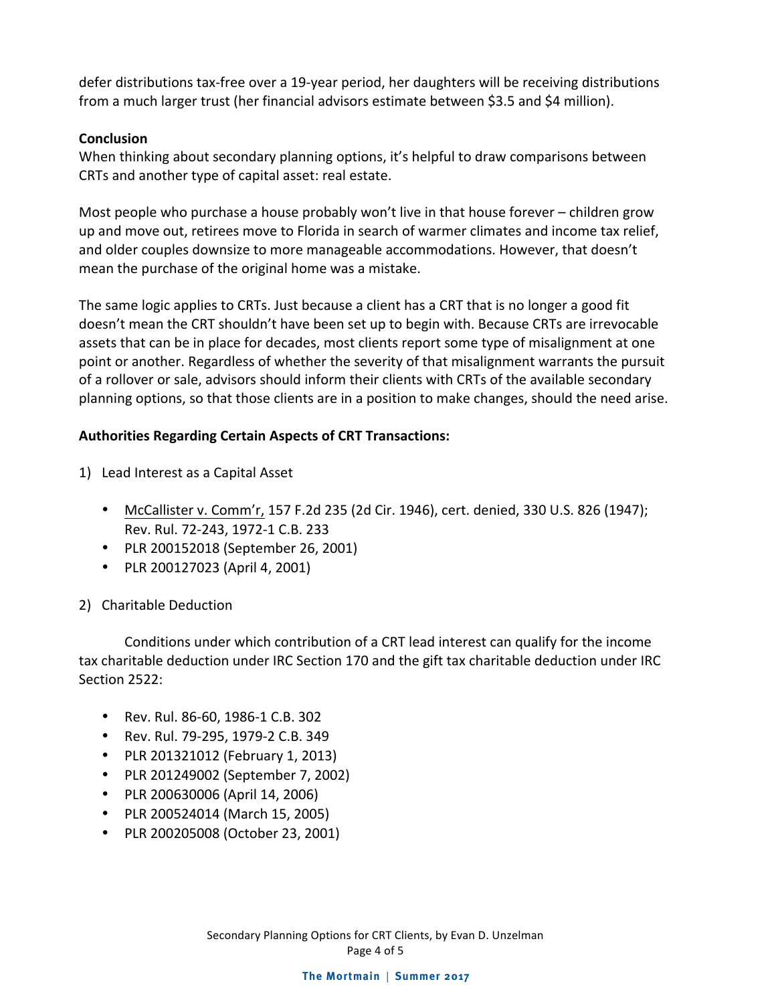defer distributions tax-free over a 19-year period, her daughters will be receiving distributions from a much larger trust (her financial advisors estimate between \$3.5 and \$4 million).

#### **Conclusion**

When thinking about secondary planning options, it's helpful to draw comparisons between CRTs and another type of capital asset: real estate.

Most people who purchase a house probably won't live in that house forever  $-$  children grow up and move out, retirees move to Florida in search of warmer climates and income tax relief, and older couples downsize to more manageable accommodations. However, that doesn't mean the purchase of the original home was a mistake.

The same logic applies to CRTs. Just because a client has a CRT that is no longer a good fit doesn't mean the CRT shouldn't have been set up to begin with. Because CRTs are irrevocable assets that can be in place for decades, most clients report some type of misalignment at one point or another. Regardless of whether the severity of that misalignment warrants the pursuit of a rollover or sale, advisors should inform their clients with CRTs of the available secondary planning options, so that those clients are in a position to make changes, should the need arise.

#### Authorities Regarding Certain Aspects of CRT Transactions:

1) Lead Interest as a Capital Asset

- McCallister v. Comm'r, 157 F.2d 235 (2d Cir. 1946), cert. denied, 330 U.S. 826 (1947); Rev. Rul. 72-243, 1972-1 C.B. 233
- PLR 200152018 (September 26, 2001)
- PLR 200127023 (April 4, 2001)

# 2) Charitable Deduction

Conditions under which contribution of a CRT lead interest can qualify for the income tax charitable deduction under IRC Section 170 and the gift tax charitable deduction under IRC Section 2522:

- Rev. Rul. 86-60, 1986-1 C.B. 302
- Rev. Rul. 79-295, 1979-2 C.B. 349
- PLR 201321012 (February 1, 2013)
- PLR 201249002 (September 7, 2002)
- PLR 200630006 (April 14, 2006)
- PLR 200524014 (March 15, 2005)
- PLR 200205008 (October 23, 2001)